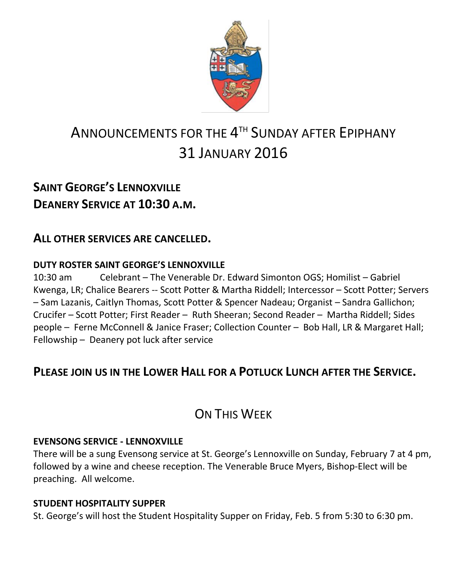

# ANNOUNCEMENTS FOR THE  $4^{\text{\tiny{TH}}}$  SUNDAY AFTER  $E$ PIPHANY 31 JANUARY 2016

# **SAINT GEORGE'S LENNOXVILLE DEANERY SERVICE AT 10:30 A.M.**

# **ALL OTHER SERVICES ARE CANCELLED.**

# **DUTY ROSTER SAINT GEORGE'S LENNOXVILLE**

10:30 am Celebrant – The Venerable Dr. Edward Simonton OGS; Homilist – Gabriel Kwenga, LR; Chalice Bearers -- Scott Potter & Martha Riddell; Intercessor – Scott Potter; Servers – Sam Lazanis, Caitlyn Thomas, Scott Potter & Spencer Nadeau; Organist – Sandra Gallichon; Crucifer – Scott Potter; First Reader – Ruth Sheeran; Second Reader – Martha Riddell; Sides people – Ferne McConnell & Janice Fraser; Collection Counter – Bob Hall, LR & Margaret Hall; Fellowship – Deanery pot luck after service

# **PLEASE JOIN US IN THE LOWER HALL FOR A POTLUCK LUNCH AFTER THE SERVICE.**

# ON THIS WFFK

### **EVENSONG SERVICE - LENNOXVILLE**

There will be a sung Evensong service at St. George's Lennoxville on Sunday, February 7 at 4 pm, followed by a wine and cheese reception. The Venerable Bruce Myers, Bishop-Elect will be preaching. All welcome.

### **STUDENT HOSPITALITY SUPPER**

St. George's will host the Student Hospitality Supper on Friday, Feb. 5 from 5:30 to 6:30 pm.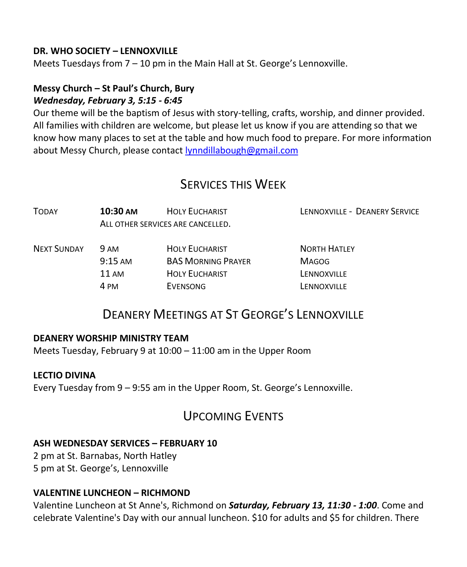#### **DR. WHO SOCIETY – LENNOXVILLE**

Meets Tuesdays from 7 – 10 pm in the Main Hall at St. George's Lennoxville.

### **Messy Church – St Paul's Church, Bury** *Wednesday, February 3, 5:15 - 6:45*

Our theme will be the baptism of Jesus with story-telling, crafts, worship, and dinner provided. All families with children are welcome, but please let us know if you are attending so that we know how many places to set at the table and how much food to prepare. For more information about Messy Church, please contact [lynndillabough@gmail.com](https://webmail.ubishops.ca/owa/redir.aspx?SURL=gJAaQmXdJrAJmmsLIUsCBnpsgFgooUUINemiAuOcj2MA77Qn_yfTCG0AYQBpAGwAdABvADoAbAB5AG4AbgBkAGkAbABsAGEAYgBvAHUAZwBoAEAAZwBtAGEAaQBsAC4AYwBvAG0A&URL=mailto%3alynndillabough%40gmail.com)

# SERVICES THIS WEEK

| <b>TODAY</b>       | 10:30 AM                          | <b>HOLY EUCHARIST</b>     | <b>LENNOXVILLE - DEANERY SERVICE</b> |
|--------------------|-----------------------------------|---------------------------|--------------------------------------|
|                    | ALL OTHER SERVICES ARE CANCELLED. |                           |                                      |
| <b>NEXT SUNDAY</b> | 9 AM                              | <b>HOLY EUCHARIST</b>     | <b>NORTH HATLEY</b>                  |
|                    | $9:15 \text{ AM}$                 | <b>BAS MORNING PRAYER</b> | <b>MAGOG</b>                         |
|                    | 11AM                              | <b>HOLY EUCHARIST</b>     | LENNOXVILLE                          |
|                    | 4 PM                              | EVENSONG                  | LENNOXVILLE                          |
|                    |                                   |                           |                                      |

# DEANERY MEETINGS AT ST GEORGE'S LENNOXVILLE

#### **DEANERY WORSHIP MINISTRY TEAM**

Meets Tuesday, February 9 at 10:00 – 11:00 am in the Upper Room

#### **LECTIO DIVINA**

Every Tuesday from 9 – 9:55 am in the Upper Room, St. George's Lennoxville.

# UPCOMING EVENTS

#### **ASH WEDNESDAY SERVICES – FEBRUARY 10**

2 pm at St. Barnabas, North Hatley 5 pm at St. George's, Lennoxville

### **VALENTINE LUNCHEON – RICHMOND**

Valentine Luncheon at St Anne's, Richmond on *Saturday, February 13, 11:30 - 1:00*. Come and celebrate Valentine's Day with our annual luncheon. \$10 for adults and \$5 for children. There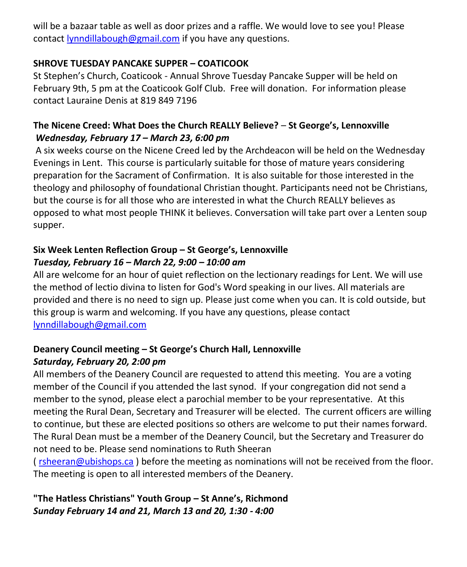will be a bazaar table as well as door prizes and a raffle. We would love to see you! Please contact [lynndillabough@gmail.com](https://webmail.ubishops.ca/owa/redir.aspx?SURL=6EKhRTHO4Pt53kSq4KbOJzArWwaL-MOrqXB8mETx9o-9E0EidRfTCG0AYQBpAGwAdABvADoAbAB5AG4AbgBkAGkAbABsAGEAYgBvAHUAZwBoAEAAZwBtAGEAaQBsAC4AYwBvAG0A&URL=mailto%3alynndillabough%40gmail.com) if you have any questions.

### **SHROVE TUESDAY PANCAKE SUPPER – COATICOOK**

St Stephen's Church, Coaticook - Annual Shrove Tuesday Pancake Supper will be held on February 9th, 5 pm at the Coaticook Golf Club. Free will donation. For information please contact Lauraine Denis at 819 849 7196

### **The Nicene Creed: What Does the Church REALLY Believe?** – **St George's, Lennoxville** *Wednesday, February 17 – March 23, 6:00 pm*

A six weeks course on the Nicene Creed led by the Archdeacon will be held on the Wednesday Evenings in Lent. This course is particularly suitable for those of mature years considering preparation for the Sacrament of Confirmation. It is also suitable for those interested in the theology and philosophy of foundational Christian thought. Participants need not be Christians, but the course is for all those who are interested in what the Church REALLY believes as opposed to what most people THINK it believes. Conversation will take part over a Lenten soup supper.

# **Six Week Lenten Reflection Group – St George's, Lennoxville**  *Tuesday, February 16 – March 22, 9:00 – 10:00 am*

All are welcome for an hour of quiet reflection on the lectionary readings for Lent. We will use the method of lectio divina to listen for God's Word speaking in our lives. All materials are provided and there is no need to sign up. Please just come when you can. It is cold outside, but this group is warm and welcoming. If you have any questions, please contact [lynndillabough@gmail.com](https://webmail.ubishops.ca/owa/redir.aspx?SURL=gJAaQmXdJrAJmmsLIUsCBnpsgFgooUUINemiAuOcj2MA77Qn_yfTCG0AYQBpAGwAdABvADoAbAB5AG4AbgBkAGkAbABsAGEAYgBvAHUAZwBoAEAAZwBtAGEAaQBsAC4AYwBvAG0A&URL=mailto%3alynndillabough%40gmail.com) 

# **Deanery Council meeting – St George's Church Hall, Lennoxville**  *Saturday, February 20, 2:00 pm*

All members of the Deanery Council are requested to attend this meeting. You are a voting member of the Council if you attended the last synod. If your congregation did not send a member to the synod, please elect a parochial member to be your representative. At this meeting the Rural Dean, Secretary and Treasurer will be elected. The current officers are willing to continue, but these are elected positions so others are welcome to put their names forward. The Rural Dean must be a member of the Deanery Council, but the Secretary and Treasurer do not need to be. Please send nominations to Ruth Sheeran

( [rsheeran@ubishops.ca](https://webmail.ubishops.ca/owa/redir.aspx?SURL=-CZySzMhc_Nw-qJCDQ2gr1YaI2MeAGrLlRDG4wCrcnMA77Qn_yfTCG0AYQBpAGwAdABvADoAcgBzAGgAZQBlAHIAYQBuAEAAdQBiAGkAcwBoAG8AcABzAC4AYwBhAA..&URL=mailto%3arsheeran%40ubishops.ca) ) before the meeting as nominations will not be received from the floor. The meeting is open to all interested members of the Deanery.

### **"The Hatless Christians" Youth Group – St Anne's, Richmond** *Sunday February 14 and 21, March 13 and 20, 1:30 - 4:00*